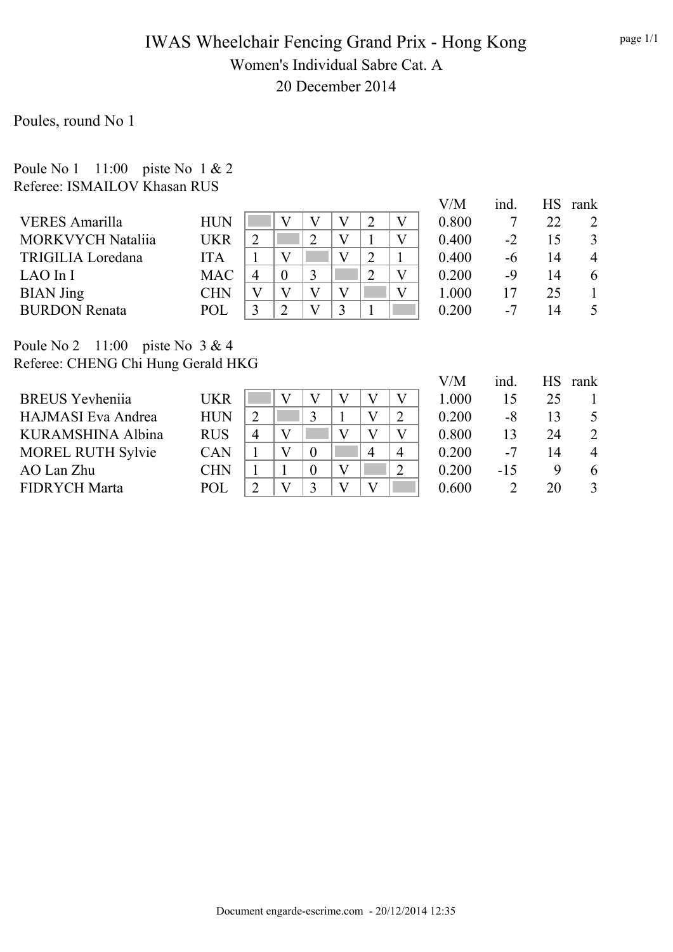## IWAS Wheelchair Fencing Grand Prix - Hong Kong Women's Individual Sabre Cat. A 20 December 2014

Poules, round No 1

Poule No 1 11:00 piste No 1 & 2 Referee: ISMAILOV Khasan RUS

|                          |            |             |                |  |  | V/M   | ind. | НS | rank           |
|--------------------------|------------|-------------|----------------|--|--|-------|------|----|----------------|
| <b>VERES Amarilla</b>    | <b>HUN</b> |             |                |  |  | 0.800 |      | 22 |                |
| <b>MORKVYCH Nataliia</b> | UKR        |             |                |  |  | 0.400 | $-2$ | 15 | 3              |
| <b>TRIGILIA Loredana</b> | <b>ITA</b> |             |                |  |  | 0.400 | -6   | 14 | $\overline{4}$ |
| LAO In I                 | <b>MAC</b> |             | $\overline{0}$ |  |  | 0.200 | -9   | 14 | 6              |
| <b>BIAN</b> Jing         | CHN        |             |                |  |  | 1.000 |      | 25 |                |
| <b>BURDON Renata</b>     | POL        | $\mathbf 3$ |                |  |  | 0.200 | $-7$ | 14 |                |

Poule No 2 11:00 piste No 3 & 4 Referee: CHENG Chi Hung Gerald HKG

|                           |            |                |   |  |   |                | V/M   | ind.  | <b>HS</b> | rank |
|---------------------------|------------|----------------|---|--|---|----------------|-------|-------|-----------|------|
| <b>BREUS</b> Yevheniia    | <b>UKR</b> |                |   |  |   |                | 1.000 | 15    | 25        |      |
| <b>HAJMASI</b> Eva Andrea | <b>HUN</b> | $\overline{2}$ |   |  |   |                | 0.200 | -8    | 13        |      |
| KURAMSHINA Albina         | <b>RUS</b> | $\overline{4}$ | V |  |   |                | 0.800 | 13    | 24        | 2    |
| <b>MOREL RUTH Sylvie</b>  | <b>CAN</b> |                | V |  | 4 | $\overline{4}$ | 0.200 | $-7$  | 14        | 4    |
| AO Lan Zhu                | <b>CHN</b> |                |   |  |   |                | 0.200 | $-15$ | Q         | 6    |
| <b>FIDRYCH Marta</b>      | POL        | $\mathcal{D}$  | V |  |   |                | 0.600 |       | 20        |      |
|                           |            |                |   |  |   |                |       |       |           |      |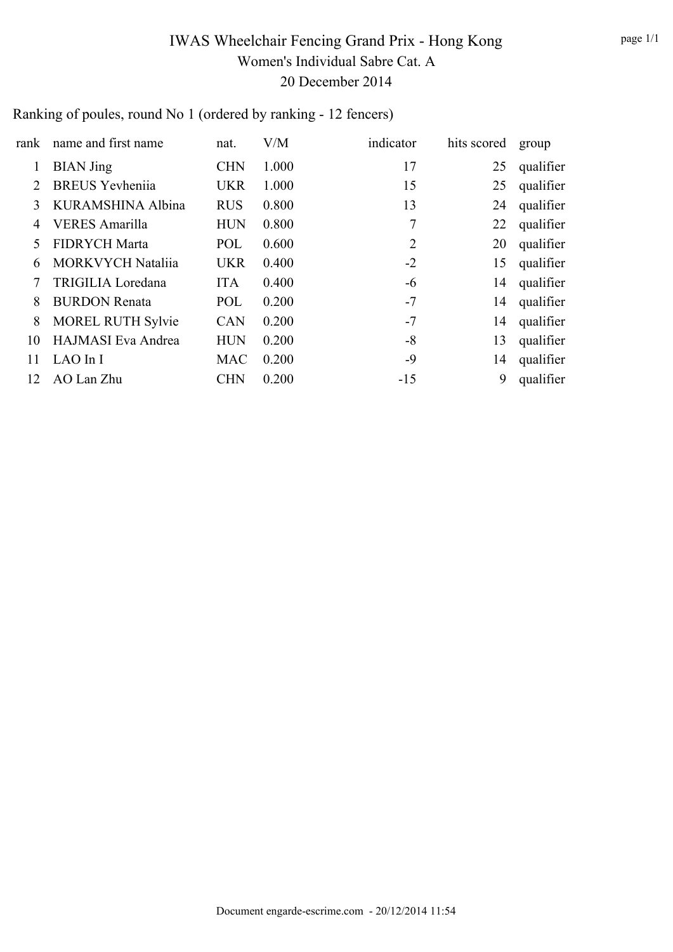# IWAS Wheelchair Fencing Grand Prix - Hong Kong Women's Individual Sabre Cat. A 20 December 2014

#### Ranking of poules, round No 1 (ordered by ranking - 12 fencers)

| rank | name and first name      | nat.       | V/M   | indicator      | hits scored | group     |
|------|--------------------------|------------|-------|----------------|-------------|-----------|
| 1    | <b>BIAN</b> Jing         | <b>CHN</b> | 1.000 | 17             | 25          | qualifier |
| 2    | <b>BREUS</b> Yevheniia   | <b>UKR</b> | 1.000 | 15             | 25          | qualifier |
| 3    | KURAMSHINA Albina        | <b>RUS</b> | 0.800 | 13             | 24          | qualifier |
| 4    | <b>VERES</b> Amarilla    | <b>HUN</b> | 0.800 | 7              | 22          | qualifier |
| 5    | <b>FIDRYCH Marta</b>     | POL        | 0.600 | $\overline{2}$ | 20          | qualifier |
| 6    | <b>MORKVYCH Nataliia</b> | <b>UKR</b> | 0.400 | $-2$           | 15          | qualifier |
|      | TRIGILIA Loredana        | <b>ITA</b> | 0.400 | $-6$           | 14          | qualifier |
| 8    | <b>BURDON Renata</b>     | POL        | 0.200 | $-7$           | 14          | qualifier |
| 8    | <b>MOREL RUTH Sylvie</b> | <b>CAN</b> | 0.200 | $-7$           | 14          | qualifier |
| 10   | HAJMASI Eva Andrea       | <b>HUN</b> | 0.200 | $-8$           | 13          | qualifier |
| 11   | LAO In I                 | <b>MAC</b> | 0.200 | $-9$           | 14          | qualifier |
| 12   | AO Lan Zhu               | <b>CHN</b> | 0.200 | $-15$          | 9           | qualifier |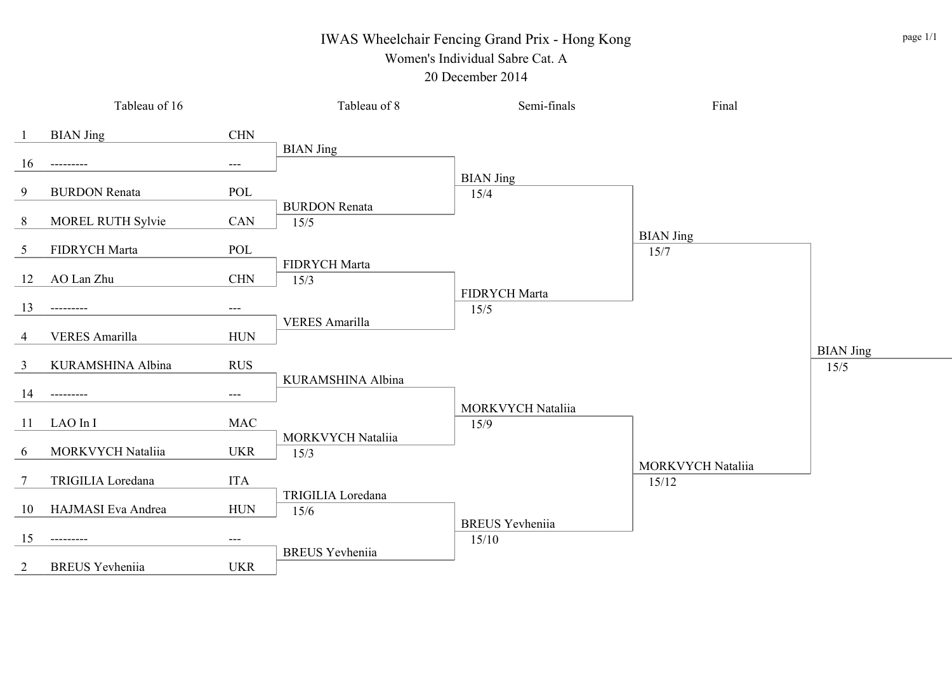# IWAS Wheelchair Fencing Grand Prix - Hong Kong

#### Women's Individual Sabre Cat. A 20 December 2014

|                | Tableau of 16            |                     | Tableau of 8                 | Semi-finals                      | Final                             |                          |
|----------------|--------------------------|---------------------|------------------------------|----------------------------------|-----------------------------------|--------------------------|
| -1             | <b>BIAN Jing</b>         | $\rm CHN$           |                              |                                  |                                   |                          |
| 16             | ---------                | $\qquad \qquad - -$ | <b>BIAN</b> Jing             | <b>BIAN</b> Jing                 |                                   |                          |
| 9              | <b>BURDON Renata</b>     | POL                 |                              | 15/4                             |                                   |                          |
| 8              | <b>MOREL RUTH Sylvie</b> | CAN                 | <b>BURDON Renata</b><br>15/5 |                                  |                                   |                          |
| 5              | FIDRYCH Marta            | POL                 | FIDRYCH Marta                |                                  | <b>BIAN Jing</b><br>15/7          |                          |
| 12             | AO Lan Zhu               | <b>CHN</b>          | 15/3                         | FIDRYCH Marta                    |                                   |                          |
| 13             | ---------                | ---                 |                              | 15/5                             |                                   |                          |
| $\overline{4}$ | <b>VERES</b> Amarilla    | ${\rm HUN}$         | <b>VERES Amarilla</b>        |                                  |                                   |                          |
| 3              | KURAMSHINA Albina        | $\rm RUS$           |                              |                                  |                                   | <b>BIAN Jing</b><br>15/5 |
| 14             | ---------                | $---$               | KURAMSHINA Albina            |                                  |                                   |                          |
| 11             | LAO In I                 | $\rm MAC$           |                              | <b>MORKVYCH Nataliia</b><br>15/9 |                                   |                          |
| 6              | MORKVYCH Nataliia        | <b>UKR</b>          | MORKVYCH Nataliia<br>15/3    |                                  |                                   |                          |
| $\tau$         | TRIGILIA Loredana        | <b>ITA</b>          |                              |                                  | <b>MORKVYCH Nataliia</b><br>15/12 |                          |
| 10             | HAJMASI Eva Andrea       | <b>HUN</b>          | TRIGILIA Loredana<br>15/6    |                                  |                                   |                          |
| 15             | ---------                | ---                 |                              | <b>BREUS</b> Yevheniia<br>15/10  |                                   |                          |
| 2              | <b>BREUS</b> Yevheniia   | <b>UKR</b>          | <b>BREUS</b> Yevheniia       |                                  |                                   |                          |